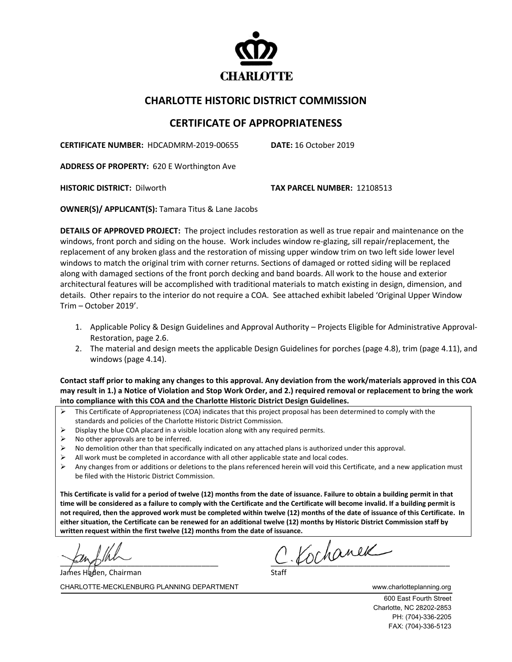

## **CHARLOTTE HISTORIC DISTRICT COMMISSION**

## **CERTIFICATE OF APPROPRIATENESS**

**CERTIFICATE NUMBER:** HDCADMRM-2019-00655 **DATE:** 16 October 2019

**ADDRESS OF PROPERTY:** 620 E Worthington Ave

**HISTORIC DISTRICT:** Dilworth **TAX PARCEL NUMBER:** 12108513

**OWNER(S)/ APPLICANT(S):** Tamara Titus & Lane Jacobs

**DETAILS OF APPROVED PROJECT:** The project includes restoration as well as true repair and maintenance on the windows, front porch and siding on the house. Work includes window re-glazing, sill repair/replacement, the replacement of any broken glass and the restoration of missing upper window trim on two left side lower level windows to match the original trim with corner returns. Sections of damaged or rotted siding will be replaced along with damaged sections of the front porch decking and band boards. All work to the house and exterior architectural features will be accomplished with traditional materials to match existing in design, dimension, and details. Other repairs to the interior do not require a COA. See attached exhibit labeled 'Original Upper Window Trim – October 2019'.

- 1. Applicable Policy & Design Guidelines and Approval Authority Projects Eligible for Administrative Approval-Restoration, page 2.6.
- 2. The material and design meets the applicable Design Guidelines for porches (page 4.8), trim (page 4.11), and windows (page 4.14).

**Contact staff prior to making any changes to this approval. Any deviation from the work/materials approved in this COA may result in 1.) a Notice of Violation and Stop Work Order, and 2.) required removal or replacement to bring the work into compliance with this COA and the Charlotte Historic District Design Guidelines.**

- $\triangleright$  This Certificate of Appropriateness (COA) indicates that this project proposal has been determined to comply with the standards and policies of the Charlotte Historic District Commission.
- Display the blue COA placard in a visible location along with any required permits.
- No other approvals are to be inferred.
- No demolition other than that specifically indicated on any attached plans is authorized under this approval.
- $\triangleright$  All work must be completed in accordance with all other applicable state and local codes.
- $\triangleright$  Any changes from or additions or deletions to the plans referenced herein will void this Certificate, and a new application must be filed with the Historic District Commission.

**This Certificate is valid for a period of twelve (12) months from the date of issuance. Failure to obtain a building permit in that time will be considered as a failure to comply with the Certificate and the Certificate will become invalid. If a building permit is not required, then the approved work must be completed within twelve (12) months of the date of issuance of this Certificate. In either situation, the Certificate can be renewed for an additional twelve (12) months by Historic District Commission staff by written request within the first twelve (12) months from the date of issuance.** 

James Haden, Chairman

 $C$  Kochanek

CHARLOTTE-MECKLENBURG PLANNING DEPARTMENT WWW.charlotteplanning.org

600 East Fourth Street Charlotte, NC 28202-2853 PH: (704)-336-2205 FAX: (704)-336-5123